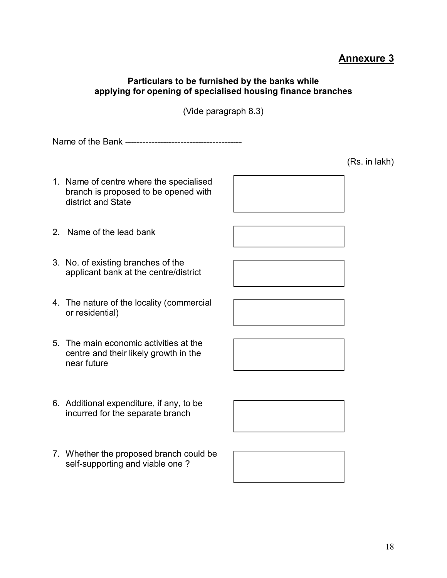## **Annexure 3**

## **Particulars to be furnished by the banks while applying for opening of specialised housing finance branches**

(Vide paragraph 8.3)

Name of the Bank ----------------------------------------

- 1. Name of centre where the specialised branch is proposed to be opened with district and State
- 2. Name of the lead bank
- 3. No. of existing branches of the applicant bank at the centre/district
- 4. The nature of the locality (commercial or residential)
- 5. The main economic activities at the centre and their likely growth in the near future
- 6. Additional expenditure, if any, to be incurred for the separate branch
- 7. Whether the proposed branch could be self-supporting and viable one ?







(Rs. in lakh)